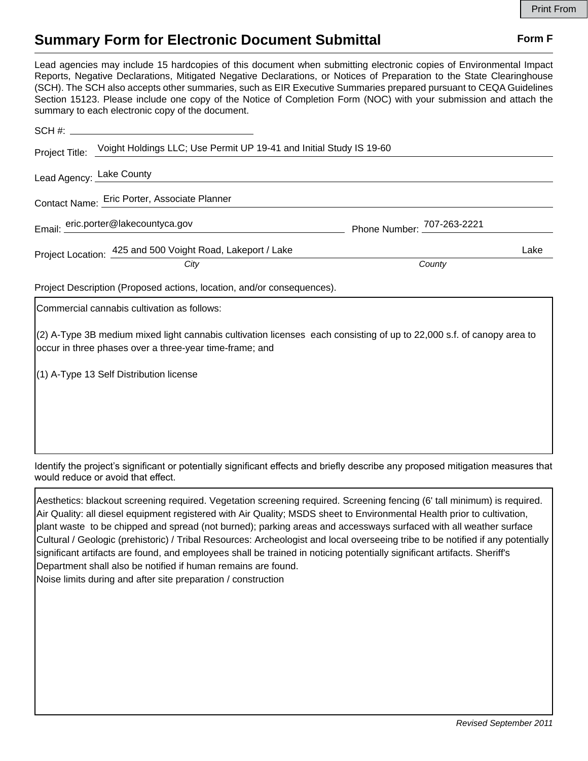## **Summary Form for Electronic Document Submittal Form F Form F**

Lead agencies may include 15 hardcopies of this document when submitting electronic copies of Environmental Impact Reports, Negative Declarations, Mitigated Negative Declarations, or Notices of Preparation to the State Clearinghouse (SCH). The SCH also accepts other summaries, such as EIR Executive Summaries prepared pursuant to CEQA Guidelines Section 15123. Please include one copy of the Notice of Completion Form (NOC) with your submission and attach the summary to each electronic copy of the document.

| Project Title: Voight Holdings LLC; Use Permit UP 19-41 and Initial Study IS 19-60                                                                                               |        |
|----------------------------------------------------------------------------------------------------------------------------------------------------------------------------------|--------|
| Lead Agency: Lake County                                                                                                                                                         |        |
| Contact Name: Eric Porter, Associate Planner                                                                                                                                     |        |
| Email: eric.porter@lakecountyca.gov Phone Number: 707-263-2221                                                                                                                   |        |
| Project Location: 425 and 500 Voight Road, Lakeport / Lake                                                                                                                       | Lake   |
| City                                                                                                                                                                             | County |
| Project Description (Proposed actions, location, and/or consequences).                                                                                                           |        |
| Commercial cannabis cultivation as follows:                                                                                                                                      |        |
| (2) A-Type 3B medium mixed light cannabis cultivation licenses each consisting of up to 22,000 s.f. of canopy area to<br>occur in three phases over a three-year time-frame; and |        |
| (1) A-Type 13 Self Distribution license                                                                                                                                          |        |
|                                                                                                                                                                                  |        |
|                                                                                                                                                                                  |        |
|                                                                                                                                                                                  |        |

Identify the project's significant or potentially significant effects and briefly describe any proposed mitigation measures that would reduce or avoid that effect.

Aesthetics: blackout screening required. Vegetation screening required. Screening fencing (6' tall minimum) is required. Air Quality: all diesel equipment registered with Air Quality; MSDS sheet to Environmental Health prior to cultivation, plant waste to be chipped and spread (not burned); parking areas and accessways surfaced with all weather surface Cultural / Geologic (prehistoric) / Tribal Resources: Archeologist and local overseeing tribe to be notified if any potentially significant artifacts are found, and employees shall be trained in noticing potentially significant artifacts. Sheriff's Department shall also be notified if human remains are found. Noise limits during and after site preparation / construction